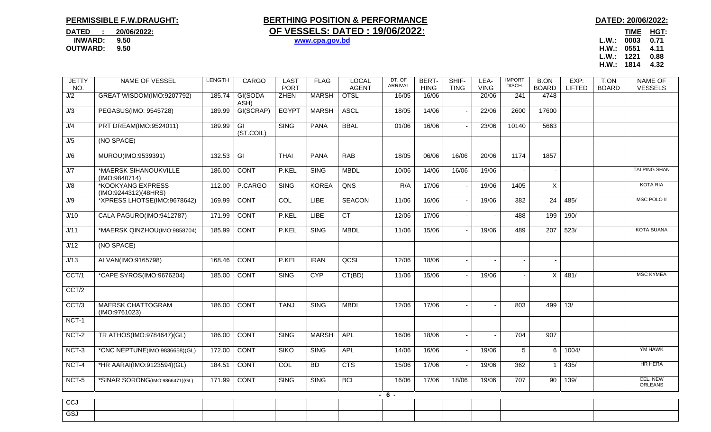## **PERMISSIBLE F.W.DRAUGHT:**

## **BERTHING POSITION & PERFORMANCE DATED: 20/06/2022: DATED** : 20/06/2022: **OF VESSELS: DATED : 19/06/2022:**

**OUTWARD: 9.50 H.W.: 0551 4.11 L.W.: 1221 0.88 H.W.: 1814 4.32** 

| <b>JETTY</b><br>NO.       | NAME OF VESSEL                                   | LENGTH | <b>CARGO</b>                | <b>LAST</b><br><b>PORT</b> | <b>FLAG</b>  | <b>LOCAL</b><br><b>AGENT</b> | DT. OF<br>ARRIVAL | BERT-<br><b>HING</b> | SHIF-<br><b>TING</b> | LEA-<br><b>VING</b>      | <b>IMPORT</b><br>DISCH. | <b>B.ON</b><br><b>BOARD</b> | EXP:<br><b>LIFTED</b> | T.ON<br><b>BOARD</b> | <b>NAME OF</b><br><b>VESSELS</b> |
|---------------------------|--------------------------------------------------|--------|-----------------------------|----------------------------|--------------|------------------------------|-------------------|----------------------|----------------------|--------------------------|-------------------------|-----------------------------|-----------------------|----------------------|----------------------------------|
| J/2                       | GREAT WISDOM(IMO:9207792)                        | 185.74 | GI(SODA<br>ASH)             | <b>ZHEN</b>                | <b>MARSH</b> | <b>OTSL</b>                  | 16/05             | 16/06                |                      | 20/06                    | 241                     | 4748                        |                       |                      |                                  |
| $\overline{\mathsf{U}/3}$ | PEGASUS(IMO: 9545728)                            | 189.99 | GI(SCRAP)                   | <b>EGYPT</b>               | <b>MARSH</b> | <b>ASCL</b>                  | 18/05             | 14/06                |                      | 22/06                    | 2600                    | 17600                       |                       |                      |                                  |
| J/4                       | PRT DREAM(IMO:9524011)                           | 189.99 | $\overline{G}$<br>(ST.COIL) | <b>SING</b>                | <b>PANA</b>  | <b>BBAL</b>                  | 01/06             | 16/06                |                      | 23/06                    | 10140                   | 5663                        |                       |                      |                                  |
| J/5                       | (NO SPACE)                                       |        |                             |                            |              |                              |                   |                      |                      |                          |                         |                             |                       |                      |                                  |
| J/6                       | MUROU(IMO:9539391)                               | 132.53 | $\overline{G}$              | <b>THAI</b>                | <b>PANA</b>  | <b>RAB</b>                   | 18/05             | 06/06                | 16/06                | 20/06                    | 1174                    | 1857                        |                       |                      |                                  |
| J/7                       | *MAERSK SIHANOUKVILLE<br>(IMO:9840714)           | 186.00 | <b>CONT</b>                 | P.KEL                      | <b>SING</b>  | <b>MBDL</b>                  | 10/06             | 14/06                | 16/06                | 19/06                    |                         |                             |                       |                      | TAI PING SHAN                    |
| J/8                       | <b>*KOOKYANG EXPRESS</b><br>(IMO:9244312)(48HRS) | 112.00 | P.CARGO                     | <b>SING</b>                | <b>KOREA</b> | QNS                          | R/A               | 17/06                |                      | 19/06                    | 1405                    | $\times$                    |                       |                      | <b>KOTA RIA</b>                  |
| J/9                       | *XPRESS LHOTSE(IMO:9678642)                      | 169.99 | <b>CONT</b>                 | COL                        | <b>LIBE</b>  | <b>SEACON</b>                | 11/06             | 16/06                |                      | 19/06                    | 382                     | 24                          | 485/                  |                      | <b>MSC POLO II</b>               |
| J/10                      | CALA PAGURO(IMO:9412787)                         | 171.99 | <b>CONT</b>                 | P.KEL                      | <b>LIBE</b>  | CT                           | 12/06             | 17/06                |                      |                          | 488                     | 199                         | 190/                  |                      |                                  |
| J/11                      | *MAERSK QINZHOU(IMO:9858704)                     | 185.99 | <b>CONT</b>                 | P.KEL                      | <b>SING</b>  | <b>MBDL</b>                  | 11/06             | 15/06                |                      | 19/06                    | 489                     | $\overline{207}$            | 523/                  |                      | <b>KOTA BUANA</b>                |
| J/12                      | (NO SPACE)                                       |        |                             |                            |              |                              |                   |                      |                      |                          |                         |                             |                       |                      |                                  |
| J/13                      | ALVAN(IMO:9165798)                               | 168.46 | <b>CONT</b>                 | P.KEL                      | <b>IRAN</b>  | QCSL                         | 12/06             | 18/06                |                      | $\overline{\phantom{a}}$ | $\blacksquare$          |                             |                       |                      |                                  |
| CCT/1                     | *CAPE SYROS(IMO:9676204)                         | 185.00 | <b>CONT</b>                 | <b>SING</b>                | <b>CYP</b>   | CT(BD)                       | 11/06             | 15/06                |                      | 19/06                    |                         | X                           | 481/                  |                      | <b>MSC KYMEA</b>                 |
| CCT/2                     |                                                  |        |                             |                            |              |                              |                   |                      |                      |                          |                         |                             |                       |                      |                                  |
| CCT/3                     | <b>MAERSK CHATTOGRAM</b><br>(IMO:9761023)        | 186.00 | <b>CONT</b>                 | <b>TANJ</b>                | <b>SING</b>  | <b>MBDL</b>                  | 12/06             | 17/06                |                      | $\sim$                   | 803                     | 499                         | 13/                   |                      |                                  |
| NCT-1                     |                                                  |        |                             |                            |              |                              |                   |                      |                      |                          |                         |                             |                       |                      |                                  |
| NCT-2                     | TR ATHOS(IMO:9784647)(GL)                        | 186.00 | <b>CONT</b>                 | <b>SING</b>                | <b>MARSH</b> | <b>APL</b>                   | 16/06             | 18/06                | $\blacksquare$       | $\blacksquare$           | 704                     | 907                         |                       |                      |                                  |
| NCT-3                     | *CNC NEPTUNE(IMO:9836658)(GL)                    | 172.00 | <b>CONT</b>                 | <b>SIKO</b>                | <b>SING</b>  | <b>APL</b>                   | 14/06             | 16/06                |                      | 19/06                    | 5                       | 6                           | 1004/                 |                      | YM HAWK                          |
| NCT-4                     | *HR AARAI(IMO:9123594)(GL)                       | 184.51 | <b>CONT</b>                 | <b>COL</b>                 | <b>BD</b>    | CTS                          | 15/06             | 17/06                |                      | 19/06                    | 362                     | -1                          | 435/                  |                      | HR HERA                          |
| NCT-5                     | *SINAR SORONG(IMO:9866471)(GL)                   | 171.99 | <b>CONT</b>                 | <b>SING</b>                | <b>SING</b>  | <b>BCL</b>                   | 16/06             | 17/06                | 18/06                | 19/06                    | 707                     | 90                          | 139/                  |                      | CEL. NEW<br>ORLEANS              |
|                           |                                                  |        |                             |                            |              |                              | $-6-$             |                      |                      |                          |                         |                             |                       |                      |                                  |
| <b>CC1</b>                |                                                  |        |                             |                            |              |                              |                   |                      |                      |                          |                         |                             |                       |                      |                                  |

**INWARD:** 9.50 **b** www.cpa.gov.bd **www.cpa.gov.bd L.W.:** 0003 0.71

GSJ